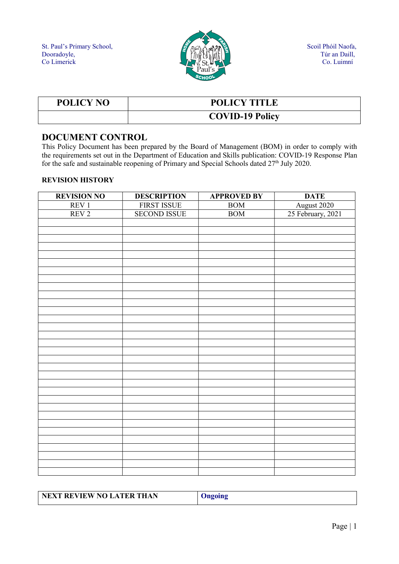

| POLICY NO | <b>POLICY TITLE</b>    |
|-----------|------------------------|
|           | <b>COVID-19 Policy</b> |

### DOCUMENT CONTROL

This Policy Document has been prepared by the Board of Management (BOM) in order to comply with the requirements set out in the Department of Education and Skills publication: COVID-19 Response Plan for the safe and sustainable reopening of Primary and Special Schools dated 27<sup>th</sup> July 2020.

#### REVISION HISTORY

| <b>REVISION NO</b> | <b>DESCRIPTION</b>  | <b>APPROVED BY</b> | <b>DATE</b>       |
|--------------------|---------------------|--------------------|-------------------|
| REV 1              | <b>FIRST ISSUE</b>  | <b>BOM</b>         | August 2020       |
| REV <sub>2</sub>   | <b>SECOND ISSUE</b> | BOM                | 25 February, 2021 |
|                    |                     |                    |                   |
|                    |                     |                    |                   |
|                    |                     |                    |                   |
|                    |                     |                    |                   |
|                    |                     |                    |                   |
|                    |                     |                    |                   |
|                    |                     |                    |                   |
|                    |                     |                    |                   |
|                    |                     |                    |                   |
|                    |                     |                    |                   |
|                    |                     |                    |                   |
|                    |                     |                    |                   |
|                    |                     |                    |                   |
|                    |                     |                    |                   |
|                    |                     |                    |                   |
|                    |                     |                    |                   |
|                    |                     |                    |                   |
|                    |                     |                    |                   |
|                    |                     |                    |                   |
|                    |                     |                    |                   |
|                    |                     |                    |                   |
|                    |                     |                    |                   |
|                    |                     |                    |                   |
|                    |                     |                    |                   |
|                    |                     |                    |                   |
|                    |                     |                    |                   |
|                    |                     |                    |                   |
|                    |                     |                    |                   |
|                    |                     |                    |                   |
|                    |                     |                    |                   |
|                    |                     |                    |                   |
|                    |                     |                    |                   |

| NEXT REVIEW NO LATER THAN | <b>Jngoing</b> |
|---------------------------|----------------|
|                           |                |